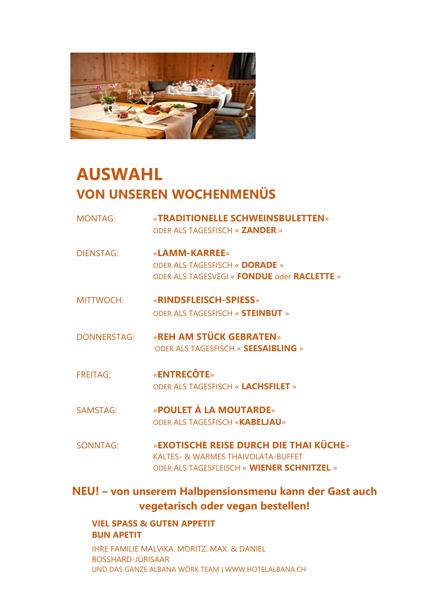

# **AUSWAHL VON UNSEREN WOCHENMENÜS**

- MONTAG: «**TRADITIONELLE SCHWEINSBULETTEN**» ODER ALS TAGESFISCH « **ZANDER** »
- DIENSTAG: «**LAMM-KARREE**» ODER ALS TAGESFISCH « **DORADE** » ODER ALS TAGESVEGI « **FONDUE** oder **RACLETTE** »
- MITTWOCH: «**RINDSFLEISCH-SPIESS**» ODER ALS TAGESFISCH « **STEINBUT** »
- DONNERSTAG: «**REH AM STÜCK GEBRATEN**» ODER ALS TAGESFISCH « **SEESAIBLING** »
- FREITAG: «**ENTRECÔTE**» ODER ALS TAGESFISCH « **LACHSFILET** »
- SAMSTAG: «**POULET À LA MOUTARDE**» ODER ALS TAGESFISCH «**KABELJAU**»
- SONNTAG: «**EXOTISCHE REISE DURCH DIE THAI KÜCHE**» KALTES- & WARMES THAIVOLATA-BUFFET ODER ALS TAGESFLEISCH « **WIENER SCHNITZEL** »

## **NEU! – von unserem Halbpensionsmenu kann der Gast auch vegetarisch oder vegan bestellen!**

## **VIEL SPASS & GUTEN APPETIT BUN APETIT**

IHRE FAMILIE MALVIKA. MORITZ. MAX. & DANIEL BOSSHARD-JÜRISAAR UND DAS GANZE ALBANA WÖRK TEAM | WWW.HOTELALBANA.CH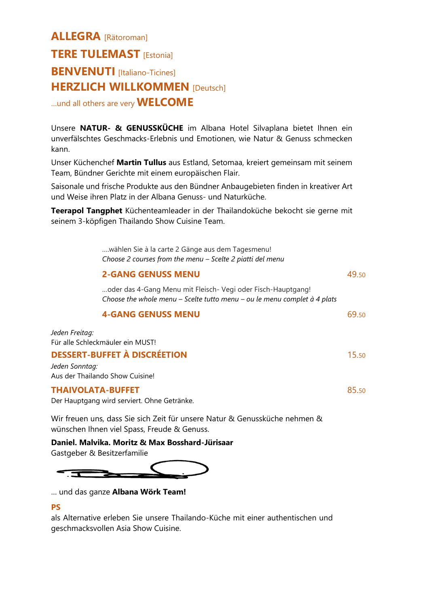## **ALLEGRA** [Rätoroman] **TERE TULEMAST** [Estonia] **BENVENUTI** [Italiano-Ticines] **HERZLICH WILLKOMMEN [Deutsch]** …und all others are very **WELCOME**

Unsere **NATUR- & GENUSSKÜCHE** im Albana Hotel Silvaplana bietet Ihnen ein unverfälschtes Geschmacks-Erlebnis und Emotionen, wie Natur & Genuss schmecken kann.

Unser Küchenchef **Martin Tullus** aus Estland, Setomaa, kreiert gemeinsam mit seinem Team, Bündner Gerichte mit einem europäischen Flair.

Saisonale und frische Produkte aus den Bündner Anbaugebieten finden in kreativer Art und Weise ihren Platz in der Albana Genuss- und Naturküche.

**Teerapol Tangphet** Küchenteamleader in der Thailandoküche bekocht sie gerne mit seinem 3-köpfigen Thailando Show Cuisine Team.

> ….wählen Sie à la carte 2 Gänge aus dem Tagesmenu! *Choose 2 courses from the menu – Scelte 2 piatti del menu*

|                                     | <b>2-GANG GENUSS MENU</b>                                                                                                                                             |       |
|-------------------------------------|-----------------------------------------------------------------------------------------------------------------------------------------------------------------------|-------|
|                                     | oder das 4-Gang Menu mit Fleisch- Vegi oder Fisch-Hauptgang!<br>Choose the whole menu - Scelte tutto menu - ou le menu complet à 4 plats<br><b>4-GANG GENUSS MENU</b> |       |
|                                     |                                                                                                                                                                       | 69.50 |
| Jeden Freitag:                      | Für alle Schleckmäuler ein MUST!                                                                                                                                      |       |
| <b>DESSERT-BUFFET À DISCRÉETION</b> |                                                                                                                                                                       | 15.50 |
| Jeden Sonntag:                      | Aus der Thailando Show Cuisine!                                                                                                                                       |       |
| <b>THAIVOLATA-BUFFET</b>            |                                                                                                                                                                       | 85.50 |

Der Hauptgang wird serviert. Ohne Getränke.

Wir freuen uns, dass Sie sich Zeit für unsere Natur & Genussküche nehmen & wünschen Ihnen viel Spass, Freude & Genuss.

**Daniel. Malvika. Moritz & Max Bosshard-Jürisaar**

Gastgeber & Besitzerfamilie



… und das ganze **Albana Wörk Team!**

## **PS**

als Alternative erleben Sie unsere Thailando-Küche mit einer authentischen und geschmacksvollen Asia Show Cuisine.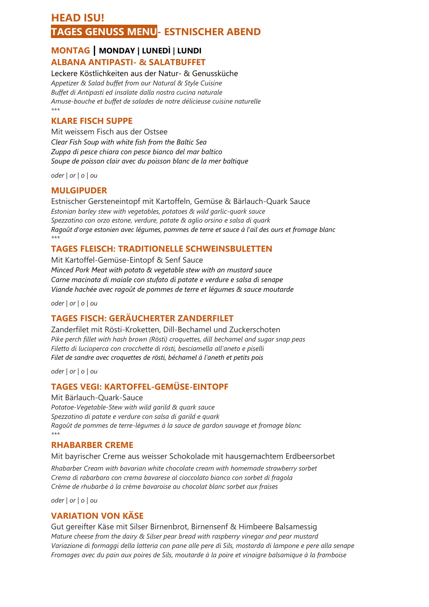## **HEAD ISU! TAGES GENUSS MENU- ESTNISCHER ABEND**

## **MONTAG | MONDAY | LUNEDÌ | LUNDI ALBANA ANTIPASTI- & SALATBUFFET**

Leckere Köstlichkeiten aus der Natur- & Genussküche *Appetizer & Salad buffet from our Natural & Style Cuisine Buffet di Antipasti ed insalate dalla nostra cucina naturale Amuse-bouche et buffet de salades de notre délicieuse cuisine naturelle \*\*\**

## **KLARE FISCH SUPPE**

Mit weissem Fisch aus der Ostsee *Clear Fish Soup with white fish from the Baltic Sea Zuppa di pesce chiara con pesce bianco del mar baltico Soupe de poisson clair avec du poisson blanc de la mer baltique*

*oder | or | o | ou* 

## **MULGIPUDER**

Estnischer Gersteneintopf mit Kartoffeln, Gemüse & Bärlauch-Quark Sauce *Estonian barley stew with vegetables, potatoes & wild garlic-quark sauce Spezzatino con orzo estone, verdure, patate & aglio orsino e salsa di quark Ragoût d'orge estonien avec légumes, pommes de terre et sauce à l'ail des ours et fromage blanc \*\*\**

## **TAGES FLEISCH: TRADITIONELLE SCHWEINSBULETTEN**

Mit Kartoffel-Gemüse-Eintopf & Senf Sauce *Minced Pork Meat with potato & vegetable stew with an mustard sauce Carne macinata di maiale con stufato di patate e verdure e salsa di senape Viande hachée avec ragoût de pommes de terre et légumes & sauce moutarde*

*oder | or | o | ou*

## **TAGES FISCH: GERÄUCHERTER ZANDERFILET**

Zanderfilet mit Rösti-Kroketten, Dill-Bechamel und Zuckerschoten *Pike perch fillet with hash brown (Rösti) croquettes, dill bechamel and sugar snap peas Filetto di lucioperca con crocchette di rösti, besciamella all'aneto e piselli Filet de sandre avec croquettes de rösti, béchamel à l'aneth et petits pois*

*oder | or | o | ou*

## **TAGES VEGI: KARTOFFEL-GEMÜSE-EINTOPF**

Mit Bärlauch-Quark-Sauce *Potatoe-Vegetable-Stew with wild garild & quark sauce Spezzatino di patate e verdure con salsa di garild e quark Ragoût de pommes de terre-légumes à la sauce de gardon sauvage et fromage blanc \*\*\**

## **RHABARBER CREME**

Mit bayrischer Creme aus weisser Schokolade mit hausgemachtem Erdbeersorbet

*Rhabarber Cream with bavarian white chocolate cream with homemade strawberry sorbet Crema di rabarbaro con crema bavarese al cioccolato bianco con sorbet di fragola Crème de rhubarbe à la crème bavaroise au chocolat blanc sorbet aux fraises*

*oder | or | o | ou*

## **VARIATION VON KÄSE**

Gut gereifter Käse mit Silser Birnenbrot, Birnensenf & Himbeere Balsamessig *Mature cheese from the dairy & Silser pear bread with raspberry vinegar and pear mustard Variazione di formaggi della latteria con pane alle pere di Sils, mostarda di lampone e pere alla senape Fromages avec du pain aux poires de Sils, moutarde à la poire et vinaigre balsamique à la framboise*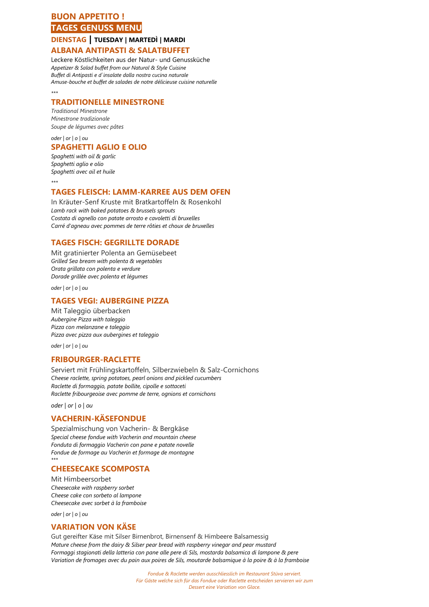## **BUON APPETITO ! TAGES GENUSS MENU**

#### **DIENSTAG | TUESDAY | MARTEDÌ | MARDI ALBANA ANTIPASTI & SALATBUFFET**

Leckere Köstlichkeiten aus der Natur- und Genussküche *Appetizer & Salad buffet from our Natural & Style Cuisine Buffet di Antipasti e d`insalate dalla nostra cucina naturale Amuse-bouche et buffet de salades de notre délicieuse cuisine naturelle \*\*\**

#### **TRADITIONELLE MINESTRONE**

*Traditional Minestrone Minestrone tradizionale Soupe de légumes avec pâtes*

#### *oder | or | o | ou*  **SPAGHETTI AGLIO E OLIO**

*Spaghetti with oil & garlic Spaghetti aglio e olio Spaghetti avec ail et huile*

*\*\*\**

#### **TAGES FLEISCH: LAMM-KARREE AUS DEM OFEN**

In Kräuter-Senf Kruste mit Bratkartoffeln & Rosenkohl *Lamb rack with baked potatoes & brussels sprouts Costata di agnello con patate arrosto e cavoletti di bruxelles Carré d'agneau avec pommes de terre rôties et choux de bruxelles*

## **TAGES FISCH: GEGRILLTE DORADE**

Mit gratinierter Polenta an Gemüsebeet *Grilled Sea bream with polenta & vegetables Orata grillata con polenta e verdure Dorade grillée avec polenta et légumes*

*oder | or | o | ou* 

#### **TAGES VEGI: AUBERGINE PIZZA**

Mit Taleggio überbacken *Aubergine Pizza with taleggio Pizza con melanzane e taleggio Pizza avec pizza aux aubergines et taleggio*

*oder | or | o | ou* 

#### **FRIBOURGER-RACLETTE**

Serviert mit Frühlingskartoffeln, Silberzwiebeln & Salz-Cornichons *Cheese raclette, spring potatoes, pearl onions and pickled cucumbers Raclette di formaggio, patate bollite, cipolle e sottaceti Raclette fribourgeoise avec pomme de terre, ognions et cornichons*

*oder | or | o | ou*

#### **VACHERIN-KÄSEFONDUE**

Spezialmischung von Vacherin- & Bergkäse *Special cheese fondue with Vacherin and mountain cheese Fonduta di formaggio Vacherin con pane e patate novelle Fondue de formage au Vacherin et formage de montagne \*\*\**

#### **CHEESECAKE SCOMPOSTA**

Mit Himbeersorbet *Cheesecake with raspberry sorbet Cheese cake con sorbeto al lampone Cheesecake avec sorbet à la framboise*

*oder | or | o | ou* 

## **VARIATION VON KÄSE**

Gut gereifter Käse mit Silser Birnenbrot, Birnensenf & Himbeere Balsamessig *Mature cheese from the dairy & Silser pear bread with raspberry vinegar and pear mustard Formaggi stagionati della latteria con pane alle pere di Sils, mostarda balsamica di lampone & pere Variation de fromages avec du pain aux poires de Sils, moutarde balsamique à la poire & à la framboise*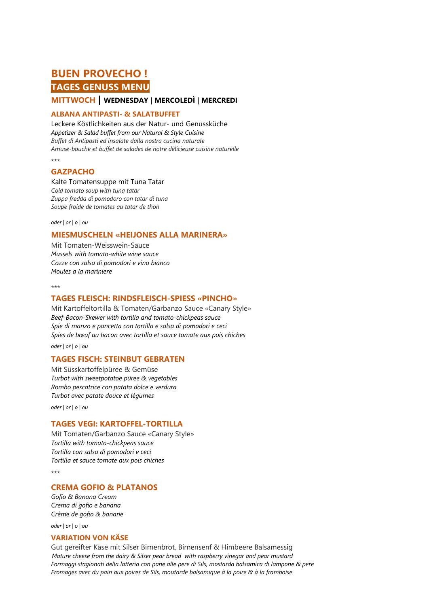## **BUEN PROVECHO ! TAGES GENUSS MENU**

## **MITTWOCH | WEDNESDAY | MERCOLEDÌ | MERCREDI**

#### **ALBANA ANTIPASTI- & SALATBUFFET**

Leckere Köstlichkeiten aus der Natur- und Genussküche *Appetizer & Salad buffet from our Natural & Style Cuisine Buffet di Antipasti ed insalate dalla nostra cucina naturale Amuse-bouche et buffet de salades de notre délicieuse cuisine naturelle*

\*\*\*

#### **GAZPACHO**

#### Kalte Tomatensuppe mit Tuna Tatar

*Cold tomato soup with tuna tatar Zuppa fredda di pomodoro con tatar di tuna Soupe froide de tomates au tatar de thon*

*oder | or | o | ou* 

#### **MIESMUSCHELN «HEIJONES ALLA MARINERA»**

Mit Tomaten-Weisswein-Sauce *Mussels with tomato-white wine sauce Cozze con salsa di pomodori e vino bianco Moules a la mariniere*

\*\*\*

#### **TAGES FLEISCH: RINDSFLEISCH-SPIESS «PINCHO»**

Mit Kartoffeltortilla & Tomaten/Garbanzo Sauce «Canary Style» *Beef-Bacon-Skewer with tortilla and tomato-chickpeas sauce Spie di manzo e pancetta con tortilla e salsa di pomodori e ceci Spies de bœuf au bacon avec tortilla et sauce tomate aux pois chiches*

*oder | or | o | ou* 

#### **TAGES FISCH: STEINBUT GEBRATEN**

Mit Süsskartoffelpüree & Gemüse *Turbot with sweetpotatoe püree & vegetables Rombo pescatrice con patata dolce e verdura Turbot avec patate douce et légumes*

*oder | or | o | ou* 

#### **TAGES VEGI: KARTOFFEL-TORTILLA**

Mit Tomaten/Garbanzo Sauce «Canary Style» *Tortilla with tomato-chickpeas sauce Tortilla con salsa di pomodori e ceci Tortilla et sauce tomate aux pois chiches*

\*\*\*

#### **CREMA GOFIO & PLATANOS**

*Gofio & Banana Cream Crema di gofio e banana Crème de gofio & banane*

*oder | or | o | ou* 

#### **VARIATION VON KÄSE**

Gut gereifter Käse mit Silser Birnenbrot, Birnensenf & Himbeere Balsamessig *Mature cheese from the dairy & Silser pear bread with raspberry vinegar and pear mustard Formaggi stagionati della latteria con pane alle pere di Sils, mostarda balsamica di lampone & pere Fromages avec du pain aux poires de Sils, moutarde balsamique à la poire & à la framboise*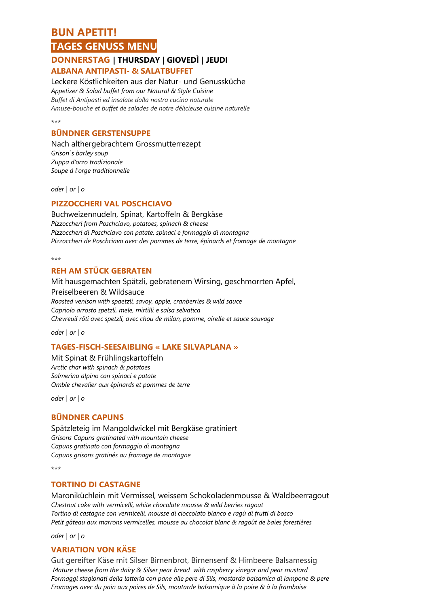## **BUN APETIT! TAGES GENUSS MENU**

#### **DONNERSTAG | THURSDAY | GIOVEDÌ | JEUDI ALBANA ANTIPASTI- & SALATBUFFET**

#### Leckere Köstlichkeiten aus der Natur- und Genussküche

*Appetizer & Salad buffet from our Natural & Style Cuisine Buffet di Antipasti ed insalate dalla nostra cucina naturale Amuse-bouche et buffet de salades de notre délicieuse cuisine naturelle*

#### $+ + +$

### **BÜNDNER GERSTENSUPPE**

Nach althergebrachtem Grossmutterrezept *Grison`s barley soup Zuppa d'orzo tradizionale Soupe à l'orge traditionnelle*

*oder | or | o*

#### **PIZZOCCHERI VAL POSCHCIAVO**

Buchweizennudeln, Spinat, Kartoffeln & Bergkäse *Pizzoccheri from Poschciavo, potatoes, spinach & cheese Pizzoccheri di Poschciavo con patate, spinaci e formaggio di montagna Pizzoccheri de Poschciavo avec des pommes de terre, épinards et fromage de montagne*

\*\*\*

#### **REH AM STÜCK GEBRATEN**

Mit hausgemachten Spätzli, gebratenem Wirsing, geschmorrten Apfel, Preiselbeeren & Wildsauce *Roasted venison with spaetzli, savoy, apple, cranberries & wild sauce Capriolo arrosto spetzli, mele, mirtilli e salsa selvatica Chevreuil rôti avec spetzli, avec chou de milan, pomme, airelle et sauce sauvage*

*oder | or | o*

#### **TAGES-FISCH-SEESAIBLING « LAKE SILVAPLANA »**

Mit Spinat & Frühlingskartoffeln *Arctic char with spinach & potatoes Salmerino alpino con spinaci e patate Omble chevalier aux épinards et pommes de terre*

*oder | or | o*

## **BÜNDNER CAPUNS**

Spätzleteig im Mangoldwickel mit Bergkäse gratiniert *Grisons Capuns gratinated with mountain cheese Capuns gratinato con formaggio di montagna Capuns grisons gratinés au fromage de montagne*

\*\*\*

#### **TORTINO DI CASTAGNE**

Maroniküchlein mit Vermissel, weissem Schokoladenmousse & Waldbeerragout *Chestnut cake with vermicelli, white chocolate mousse & wild berries ragout Tortino di castagne con vermicelli, mousse di cioccolato bianco e ragù di frutti di bosco Petit gâteau aux marrons vermicelles, mousse au chocolat blanc & ragoût de baies forestières*

*oder | or | o*

## **VARIATION VON KÄSE**

Gut gereifter Käse mit Silser Birnenbrot, Birnensenf & Himbeere Balsamessig *Mature cheese from the dairy & Silser pear bread with raspberry vinegar and pear mustard Formaggi stagionati della latteria con pane alle pere di Sils, mostarda balsamica di lampone & pere Fromages avec du pain aux poires de Sils, moutarde balsamique à la poire & à la framboise*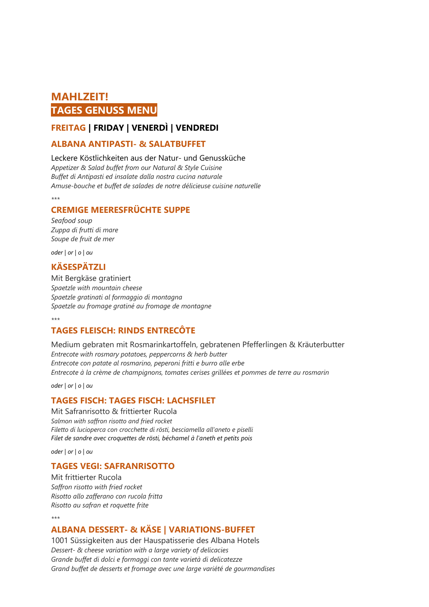## **MAHLZEIT! TAGES GENUSS MENU**

## **FREITAG | FRIDAY | VENERDÌ | VENDREDI**

#### **ALBANA ANTIPASTI- & SALATBUFFET**

#### Leckere Köstlichkeiten aus der Natur- und Genussküche

*Appetizer & Salad buffet from our Natural & Style Cuisine Buffet di Antipasti ed insalate dalla nostra cucina naturale Amuse-bouche et buffet de salades de notre délicieuse cuisine naturelle*

*\*\*\**

## **CREMIGE MEERESFRÜCHTE SUPPE**

*Seafood soup Zuppa di frutti di mare Soupe de fruit de mer*

*oder | or | o | ou* 

## **KÄSESPÄTZLI**

Mit Bergkäse gratiniert *Spaetzle with mountain cheese Spaetzle gratinati al formaggio di montagna Spaetzle au fromage gratiné au fromage de montagne*

*\*\*\**

## **TAGES FLEISCH: RINDS ENTRECÔTE**

Medium gebraten mit Rosmarinkartoffeln, gebratenen Pfefferlingen & Kräuterbutter *Entrecote with rosmary potatoes, peppercorns & herb butter Entrecote con patate al rosmarino, peperoni fritti e burro alle erbe Entrecote à la crème de champignons, tomates cerises grillées et pommes de terre au rosmarin*

*oder | or | o | ou* 

## **TAGES FISCH: TAGES FISCH: LACHSFILET**

Mit Safranrisotto & frittierter Rucola *Salmon with saffron risotto and fried rocket Filetto di lucioperca con crocchette di rösti, besciamella all'aneto e piselli Filet de sandre avec croquettes de rösti, béchamel à l'aneth et petits pois*

*oder | or | o | ou* 

## **TAGES VEGI: SAFRANRISOTTO**

Mit frittierter Rucola *Saffron risotto with fried rocket Risotto allo zafferano con rucola fritta Risotto au safran et roquette frite*

#### *\*\*\**

#### **ALBANA DESSERT- & KÄSE | VARIATIONS-BUFFET**

1001 Süssigkeiten aus der Hauspatisserie des Albana Hotels *Dessert- & cheese variation with a large variety of delicacies Grande buffet di dolci e formaggi con tante varietà di delicatezze Grand buffet de desserts et fromage avec une large variété de gourmandises*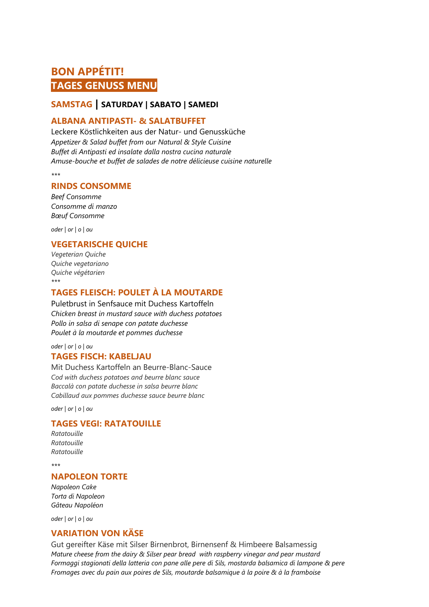## **BON APPÉTIT! TAGES GENUSS MENU**

## **SAMSTAG | SATURDAY | SABATO | SAMEDI**

#### **ALBANA ANTIPASTI- & SALATBUFFET**

Leckere Köstlichkeiten aus der Natur- und Genussküche *Appetizer & Salad buffet from our Natural & Style Cuisine Buffet di Antipasti ed insalate dalla nostra cucina naturale Amuse-bouche et buffet de salades de notre délicieuse cuisine naturelle*

*\*\*\**

#### **RINDS CONSOMME**

*Beef Consomme Consomme di manzo Bœuf Consomme* 

*oder | or | o | ou* 

## **VEGETARISCHE QUICHE**

*Vegeterian Quiche Quiche vegetariano Quiche végétarien \*\*\**

## **TAGES FLEISCH: POULET À LA MOUTARDE**

Puletbrust in Senfsauce mit Duchess Kartoffeln *Chicken breast in mustard sauce with duchess potatoes Pollo in salsa di senape con patate duchesse Poulet à la moutarde et pommes duchesse*

#### *oder | or | o | ou*  **TAGES FISCH: KABELJAU**

Mit Duchess Kartoffeln an Beurre-Blanc-Sauce *Cod with duchess potatoes and beurre blanc sauce Baccalà con patate duchesse in salsa beurre blanc Cabillaud aux pommes duchesse sauce beurre blanc*

*oder | or | o | ou* 

## **TAGES VEGI: RATATOUILLE**

*Ratatouille Ratatouille Ratatouille* 

*\*\*\**

#### **NAPOLEON TORTE**

*Napoleon Cake Torta di Napoleon Gâteau Napoléon*

*oder | or | o | ou* 

## **VARIATION VON KÄSE**

Gut gereifter Käse mit Silser Birnenbrot, Birnensenf & Himbeere Balsamessig *Mature cheese from the dairy & Silser pear bread with raspberry vinegar and pear mustard Formaggi stagionati della latteria con pane alle pere di Sils, mostarda balsamica di lampone & pere Fromages avec du pain aux poires de Sils, moutarde balsamique à la poire & à la framboise*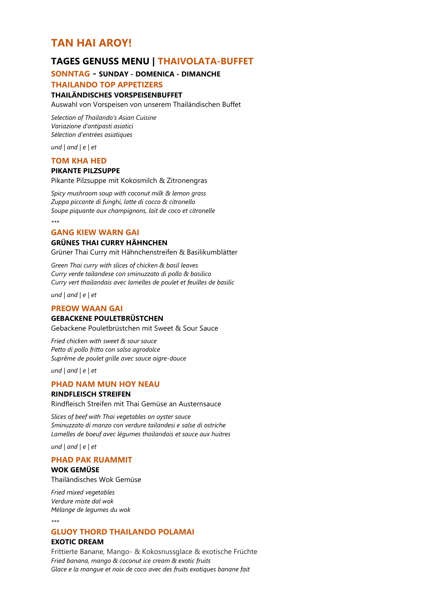## **TAN HAI AROY!**

## **TAGES GENUSS MENU | THAIVOLATA-BUFFET**

#### **SONNTAG - SUNDAY - DOMENICA - DIMANCHE**

#### **THAILANDO TOP APPETIZERS**

#### **THAILÄNDISCHES VORSPEISENBUFFET**

Auswahl von Vorspeisen von unserem Thailändischen Buffet

*Selection of Thailando's Asian Cuisine Variazione d'antipasti asiatici Sélection d'entrées asiatiques*

*und | and | e | et* 

#### **TOM KHA HED**

#### **PIKANTE PILZSUPPE**

Pikante Pilzsuppe mit Kokosmilch & Zitronengras

*Spicy mushroom soup with coconut milk & lemon grass Zuppa piccante di funghi, latte di cocco & citronello Soupe piquante aux champignons, lait de coco et citronelle*

*\*\*\**

#### **GANG KIEW WARN GAI**

## **GRÜNES THAI CURRY HÄHNCHEN**

Grüner Thai Curry mit Hähnchenstreifen & Basilikumblätter

*Green Thai curry with slices of chicken & basil leaves Curry verde tailandese con sminuzzato di pollo & basilico Curry vert thailandais avec lamelles de poulet et feuilles de basilic*

*und | and | e | et* 

#### **PREOW WAAN GAI**

#### **GEBACKENE POULETBRÜSTCHEN**

Gebackene Pouletbrüstchen mit Sweet & Sour Sauce

*Fried chicken with sweet & sour sauce Petto di pollo fritto con salsa agrodolce Suprême de poulet grille avec sauce aigre-douce*

*und | and | e | et* 

#### **PHAD NAM MUN HOY NEAU**

#### **RINDFLEISCH STREIFEN**

Rindfleisch Streifen mit Thai Gemüse an Austernsauce

*Slices of beef with Thai vegetables on oyster sauce Sminuzzato di manzo con verdure tailandesi e salse di ostriche Lamelles de boeuf avec légumes thailandais et sauce aux huitres*

*und | and | e | et* 

#### **PHAD PAK RUAMMIT**

**WOK GEMÜSE** Thailändisches Wok Gemüse

*Fried mixed vegetables Verdure miste dal wok Mélange de legumes du wok*

*\*\*\**

## **GLUOY THORD THAILANDO POLAMAI**

#### **EXOTIC DREAM**

Frittierte Banane, Mango- & Kokosnussglace & exotische Früchte *Fried banana, mango & coconut ice cream & exotic fruits Glace e la mangue et noix de coco avec des fruits exotiques banane fait*